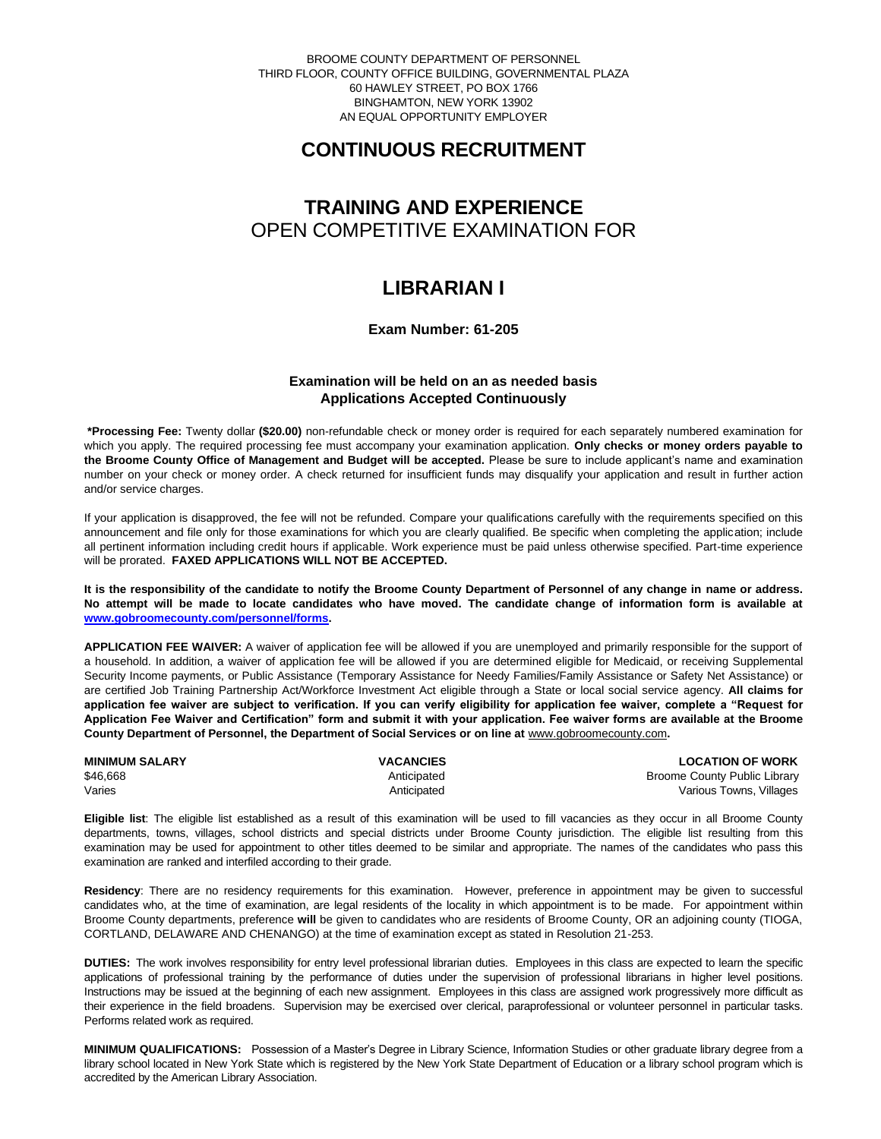BROOME COUNTY DEPARTMENT OF PERSONNEL THIRD FLOOR, COUNTY OFFICE BUILDING, GOVERNMENTAL PLAZA 60 HAWLEY STREET, PO BOX 1766 BINGHAMTON, NEW YORK 13902 AN EQUAL OPPORTUNITY EMPLOYER

# **CONTINUOUS RECRUITMENT**

# **TRAINING AND EXPERIENCE** OPEN COMPETITIVE EXAMINATION FOR

## **LIBRARIAN I**

## **Exam Number: 61-205**

### **Examination will be held on an as needed basis Applications Accepted Continuously**

**\*Processing Fee:** Twenty dollar **(\$20.00)** non-refundable check or money order is required for each separately numbered examination for which you apply. The required processing fee must accompany your examination application. **Only checks or money orders payable to the Broome County Office of Management and Budget will be accepted.** Please be sure to include applicant's name and examination number on your check or money order. A check returned for insufficient funds may disqualify your application and result in further action and/or service charges.

If your application is disapproved, the fee will not be refunded. Compare your qualifications carefully with the requirements specified on this announcement and file only for those examinations for which you are clearly qualified. Be specific when completing the application; include all pertinent information including credit hours if applicable. Work experience must be paid unless otherwise specified. Part-time experience will be prorated. **FAXED APPLICATIONS WILL NOT BE ACCEPTED.** 

**It is the responsibility of the candidate to notify the Broome County Department of Personnel of any change in name or address. No attempt will be made to locate candidates who have moved. The candidate change of information form is available at [www.gobroomecounty.com/personnel/forms.](http://www.gobroomecounty.com/personnel/forms)** 

**APPLICATION FEE WAIVER:** A waiver of application fee will be allowed if you are unemployed and primarily responsible for the support of a household. In addition, a waiver of application fee will be allowed if you are determined eligible for Medicaid, or receiving Supplemental Security Income payments, or Public Assistance (Temporary Assistance for Needy Families/Family Assistance or Safety Net Assistance) or are certified Job Training Partnership Act/Workforce Investment Act eligible through a State or local social service agency. **All claims for application fee waiver are subject to verification. If you can verify eligibility for application fee waiver, complete a "Request for Application Fee Waiver and Certification" form and submit it with your application. Fee waiver forms are available at the Broome County Department of Personnel, the Department of Social Services or on line at** www.gobroomecounty.com**.** 

| <b>MINIMUM SALARY</b> | <b>VACANCIES</b> | <b>LOCATION OF WORK</b>      |
|-----------------------|------------------|------------------------------|
| \$46.668              | Anticipated      | Broome County Public Library |
| Varies                | Anticipated      | Various Towns, Villages      |

**Eligible list**: The eligible list established as a result of this examination will be used to fill vacancies as they occur in all Broome County departments, towns, villages, school districts and special districts under Broome County jurisdiction. The eligible list resulting from this examination may be used for appointment to other titles deemed to be similar and appropriate. The names of the candidates who pass this examination are ranked and interfiled according to their grade.

**Residency**: There are no residency requirements for this examination. However, preference in appointment may be given to successful candidates who, at the time of examination, are legal residents of the locality in which appointment is to be made. For appointment within Broome County departments, preference **will** be given to candidates who are residents of Broome County, OR an adjoining county (TIOGA, CORTLAND, DELAWARE AND CHENANGO) at the time of examination except as stated in Resolution 21-253.

**DUTIES:** The work involves responsibility for entry level professional librarian duties. Employees in this class are expected to learn the specific applications of professional training by the performance of duties under the supervision of professional librarians in higher level positions. Instructions may be issued at the beginning of each new assignment. Employees in this class are assigned work progressively more difficult as their experience in the field broadens. Supervision may be exercised over clerical, paraprofessional or volunteer personnel in particular tasks. Performs related work as required.

**MINIMUM QUALIFICATIONS:** Possession of a Master's Degree in Library Science, Information Studies or other graduate library degree from a library school located in New York State which is registered by the New York State Department of Education or a library school program which is accredited by the American Library Association.